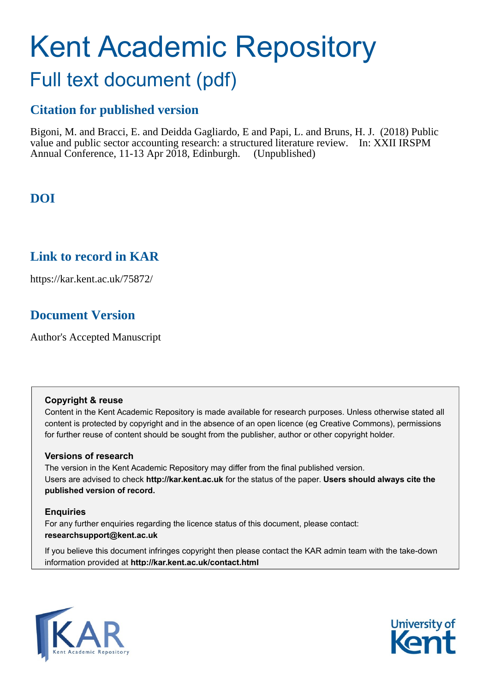# Kent Academic Repository

## Full text document (pdf)

## **Citation for published version**

Bigoni, M. and Bracci, E. and Deidda Gagliardo, E and Papi, L. and Bruns, H. J. (2018) Public value and public sector accounting research: a structured literature review. In: XXII IRSPM Annual Conference, 11-13 Apr 2018, Edinburgh. (Unpublished)

## **DOI**

## **Link to record in KAR**

https://kar.kent.ac.uk/75872/

## **Document Version**

Author's Accepted Manuscript

#### **Copyright & reuse**

Content in the Kent Academic Repository is made available for research purposes. Unless otherwise stated all content is protected by copyright and in the absence of an open licence (eg Creative Commons), permissions for further reuse of content should be sought from the publisher, author or other copyright holder.

#### **Versions of research**

The version in the Kent Academic Repository may differ from the final published version. Users are advised to check **http://kar.kent.ac.uk** for the status of the paper. **Users should always cite the published version of record.**

#### **Enquiries**

For any further enquiries regarding the licence status of this document, please contact: **researchsupport@kent.ac.uk**

If you believe this document infringes copyright then please contact the KAR admin team with the take-down information provided at **http://kar.kent.ac.uk/contact.html**



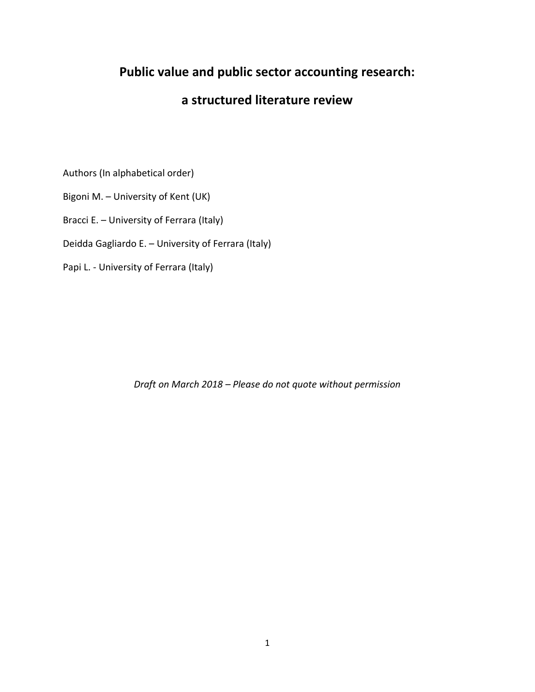## **Public value and public sector accounting research:**

### **a structured literature review**

Authors (In alphabetical order)

Bigoni M. – University of Kent (UK)

Bracci E. – University of Ferrara (Italy)

Deidda Gagliardo E. – University of Ferrara (Italy)

Papi L. - University of Ferrara (Italy)

*Draft on March 2018 – Please do not quote without permission*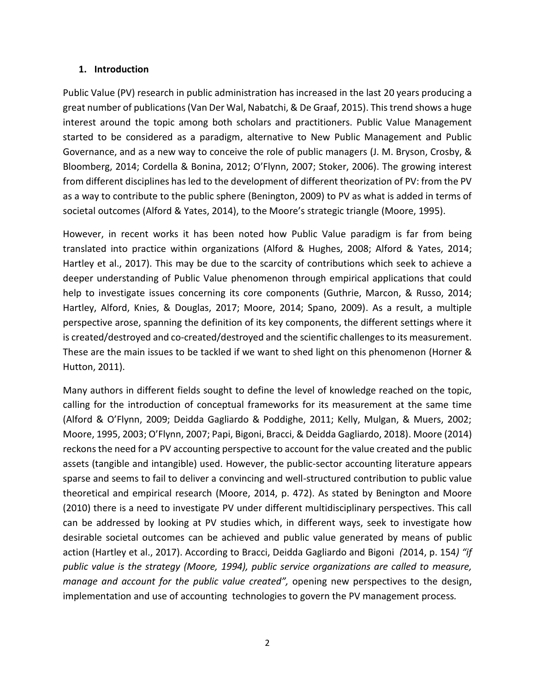#### **1. Introduction**

Public Value (PV) research in public administration has increased in the last 20 years producing a great number of publications(Van Der Wal, Nabatchi, & De Graaf, 2015). This trend shows a huge interest around the topic among both scholars and practitioners. Public Value Management started to be considered as a paradigm, alternative to New Public Management and Public Governance, and as a new way to conceive the role of public managers (J. M. Bryson, Crosby, & Bloomberg, 2014; Cordella & Bonina, 2012; O'Flynn, 2007; Stoker, 2006). The growing interest from different disciplines has led to the development of different theorization of PV: from the PV as a way to contribute to the public sphere (Benington, 2009) to PV as what is added in terms of societal outcomes (Alford & Yates, 2014), to the Moore's strategic triangle (Moore, 1995).

However, in recent works it has been noted how Public Value paradigm is far from being translated into practice within organizations (Alford & Hughes, 2008; Alford & Yates, 2014; Hartley et al., 2017). This may be due to the scarcity of contributions which seek to achieve a deeper understanding of Public Value phenomenon through empirical applications that could help to investigate issues concerning its core components (Guthrie, Marcon, & Russo, 2014; Hartley, Alford, Knies, & Douglas, 2017; Moore, 2014; Spano, 2009). As a result, a multiple perspective arose, spanning the definition of its key components, the different settings where it is created/destroyed and co-created/destroyed and the scientific challenges to its measurement. These are the main issues to be tackled if we want to shed light on this phenomenon (Horner & Hutton, 2011).

Many authors in different fields sought to define the level of knowledge reached on the topic, calling for the introduction of conceptual frameworks for its measurement at the same time (Alford & O'Flynn, 2009; Deidda Gagliardo & Poddighe, 2011; Kelly, Mulgan, & Muers, 2002; Moore, 1995, 2003; O'Flynn, 2007; Papi, Bigoni, Bracci, & Deidda Gagliardo, 2018). Moore (2014) reckons the need for a PV accounting perspective to account for the value created and the public assets (tangible and intangible) used. However, the public-sector accounting literature appears sparse and seems to fail to deliver a convincing and well-structured contribution to public value theoretical and empirical research (Moore, 2014, p. 472). As stated by Benington and Moore (2010) there is a need to investigate PV under different multidisciplinary perspectives. This call can be addressed by looking at PV studies which, in different ways, seek to investigate how desirable societal outcomes can be achieved and public value generated by means of public action (Hartley et al., 2017). According to Bracci, Deidda Gagliardo and Bigoni *(*2014, p. 154*) "if public value is the strategy (Moore, 1994), public service organizations are called to measure, manage and account for the public value created",* opening new perspectives to the design, implementation and use of accounting technologies to govern the PV management process*.*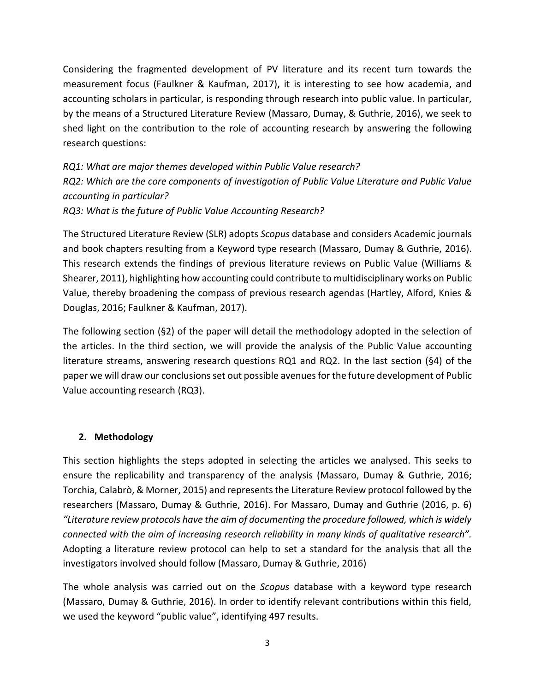Considering the fragmented development of PV literature and its recent turn towards the measurement focus (Faulkner & Kaufman, 2017), it is interesting to see how academia, and accounting scholars in particular, is responding through research into public value. In particular, by the means of a Structured Literature Review (Massaro, Dumay, & Guthrie, 2016), we seek to shed light on the contribution to the role of accounting research by answering the following research questions:

*RQ1: What are major themes developed within Public Value research? RQ2: Which are the core components of investigation of Public Value Literature and Public Value accounting in particular? RQ3: What is the future of Public Value Accounting Research?*

The Structured Literature Review (SLR) adopts *Scopus* database and considers Academic journals and book chapters resulting from a Keyword type research (Massaro, Dumay & Guthrie, 2016). This research extends the findings of previous literature reviews on Public Value (Williams & Shearer, 2011), highlighting how accounting could contribute to multidisciplinary works on Public Value, thereby broadening the compass of previous research agendas (Hartley, Alford, Knies & Douglas, 2016; Faulkner & Kaufman, 2017).

The following section (§2) of the paper will detail the methodology adopted in the selection of the articles. In the third section, we will provide the analysis of the Public Value accounting literature streams, answering research questions RQ1 and RQ2. In the last section (§4) of the paper we will draw our conclusions set out possible avenues for the future development of Public Value accounting research (RQ3).

#### **2. Methodology**

This section highlights the steps adopted in selecting the articles we analysed. This seeks to ensure the replicability and transparency of the analysis (Massaro, Dumay & Guthrie, 2016; Torchia, Calabrò, & Morner, 2015) and representsthe Literature Review protocol followed by the researchers (Massaro, Dumay & Guthrie, 2016). For Massaro, Dumay and Guthrie (2016, p. 6) *"Literature review protocols have the aim of documenting the procedure followed, which is widely connected with the aim of increasing research reliability in many kinds of qualitative research".*  Adopting a literature review protocol can help to set a standard for the analysis that all the investigators involved should follow (Massaro, Dumay & Guthrie, 2016)

The whole analysis was carried out on the *Scopus* database with a keyword type research (Massaro, Dumay & Guthrie, 2016). In order to identify relevant contributions within this field, we used the keyword "public value", identifying 497 results.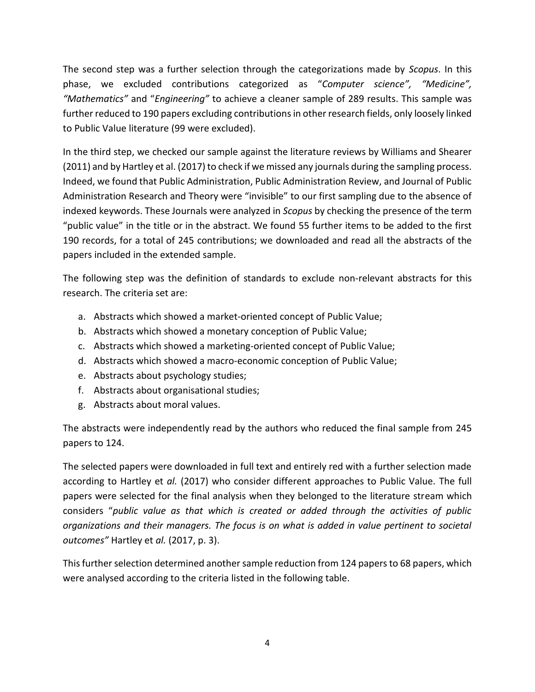The second step was a further selection through the categorizations made by *Scopus*. In this phase, we excluded contributions categorized as "*Computer science", "Medicine", "Mathematics"* and "*Engineering"* to achieve a cleaner sample of 289 results. This sample was further reduced to 190 papers excluding contributions in other research fields, only loosely linked to Public Value literature (99 were excluded).

In the third step, we checked our sample against the literature reviews by Williams and Shearer (2011) and by Hartley et al. (2017) to check if we missed any journals during the sampling process. Indeed, we found that Public Administration, Public Administration Review, and Journal of Public Administration Research and Theory were "invisible" to our first sampling due to the absence of indexed keywords. These Journals were analyzed in *Scopus* by checking the presence of the term "public value" in the title or in the abstract. We found 55 further items to be added to the first 190 records, for a total of 245 contributions; we downloaded and read all the abstracts of the papers included in the extended sample.

The following step was the definition of standards to exclude non-relevant abstracts for this research. The criteria set are:

- a. Abstracts which showed a market-oriented concept of Public Value;
- b. Abstracts which showed a monetary conception of Public Value;
- c. Abstracts which showed a marketing-oriented concept of Public Value;
- d. Abstracts which showed a macro-economic conception of Public Value;
- e. Abstracts about psychology studies;
- f. Abstracts about organisational studies;
- g. Abstracts about moral values.

The abstracts were independently read by the authors who reduced the final sample from 245 papers to 124.

The selected papers were downloaded in full text and entirely red with a further selection made according to Hartley et *al.* (2017) who consider different approaches to Public Value. The full papers were selected for the final analysis when they belonged to the literature stream which considers "*public value as that which is created or added through the activities of public organizations and their managers. The focus is on what is added in value pertinent to societal outcomes"* Hartley et *al.* (2017, p. 3).

This further selection determined another sample reduction from 124 papers to 68 papers, which were analysed according to the criteria listed in the following table.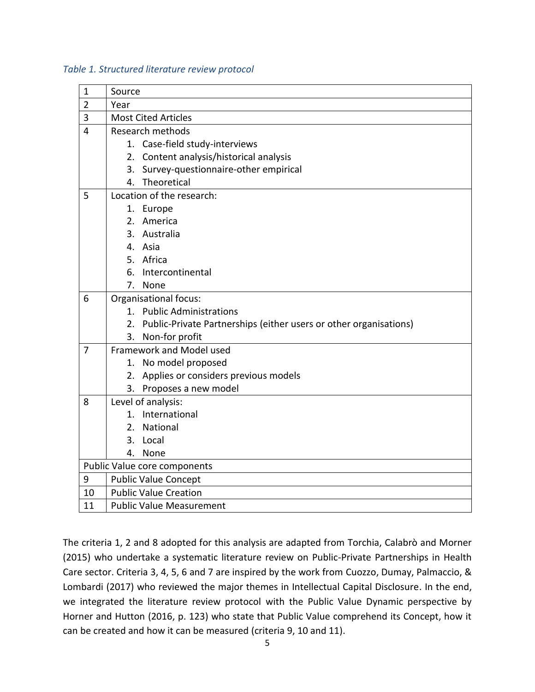#### *Table 1. Structured literature review protocol*

| $\mathbf 1$                  | Source                       |                                                                   |  |  |
|------------------------------|------------------------------|-------------------------------------------------------------------|--|--|
| $\overline{2}$               | Year                         |                                                                   |  |  |
| 3                            | <b>Most Cited Articles</b>   |                                                                   |  |  |
| 4                            | <b>Research methods</b>      |                                                                   |  |  |
|                              |                              | 1. Case-field study-interviews                                    |  |  |
|                              |                              | 2. Content analysis/historical analysis                           |  |  |
|                              |                              | 3. Survey-questionnaire-other empirical                           |  |  |
|                              | 4.                           | Theoretical                                                       |  |  |
| 5                            | Location of the research:    |                                                                   |  |  |
|                              |                              | 1. Europe                                                         |  |  |
|                              |                              | 2. America                                                        |  |  |
|                              | 3.                           | Australia                                                         |  |  |
|                              |                              | 4. Asia                                                           |  |  |
|                              |                              | 5. Africa                                                         |  |  |
|                              | 6.                           | Intercontinental                                                  |  |  |
|                              | 7.                           | None                                                              |  |  |
| 6                            | Organisational focus:        |                                                                   |  |  |
|                              |                              | 1. Public Administrations                                         |  |  |
|                              | 2.                           | Public-Private Partnerships (either users or other organisations) |  |  |
|                              | 3.                           | Non-for profit                                                    |  |  |
| $\overline{7}$               |                              | Framework and Model used                                          |  |  |
|                              |                              | 1. No model proposed                                              |  |  |
|                              | 2.                           | Applies or considers previous models                              |  |  |
|                              |                              | 3. Proposes a new model                                           |  |  |
| 8                            |                              | Level of analysis:                                                |  |  |
|                              |                              | 1. International                                                  |  |  |
|                              | 2.                           | National                                                          |  |  |
|                              | 3.                           | Local                                                             |  |  |
|                              | 4.                           | None                                                              |  |  |
| Public Value core components |                              |                                                                   |  |  |
| 9                            | <b>Public Value Concept</b>  |                                                                   |  |  |
| 10                           | <b>Public Value Creation</b> |                                                                   |  |  |
| 11                           |                              | <b>Public Value Measurement</b>                                   |  |  |

The criteria 1, 2 and 8 adopted for this analysis are adapted from Torchia, Calabrò and Morner (2015) who undertake a systematic literature review on Public-Private Partnerships in Health Care sector. Criteria 3, 4, 5, 6 and 7 are inspired by the work from Cuozzo, Dumay, Palmaccio, & Lombardi (2017) who reviewed the major themes in Intellectual Capital Disclosure. In the end, we integrated the literature review protocol with the Public Value Dynamic perspective by Horner and Hutton (2016, p. 123) who state that Public Value comprehend its Concept, how it can be created and how it can be measured (criteria 9, 10 and 11).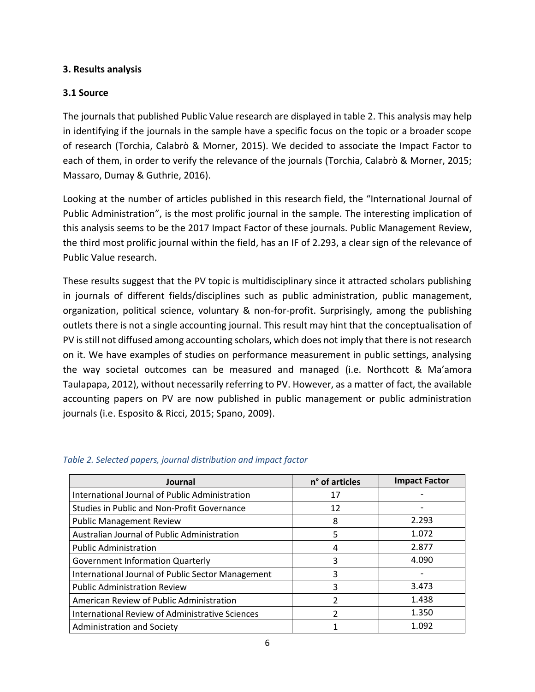#### **3. Results analysis**

#### **3.1 Source**

The journals that published Public Value research are displayed in table 2. This analysis may help in identifying if the journals in the sample have a specific focus on the topic or a broader scope of research (Torchia, Calabrò & Morner, 2015). We decided to associate the Impact Factor to each of them, in order to verify the relevance of the journals (Torchia, Calabrò & Morner, 2015; Massaro, Dumay & Guthrie, 2016).

Looking at the number of articles published in this research field, the "International Journal of Public Administration", is the most prolific journal in the sample. The interesting implication of this analysis seems to be the 2017 Impact Factor of these journals. Public Management Review, the third most prolific journal within the field, has an IF of 2.293, a clear sign of the relevance of Public Value research.

These results suggest that the PV topic is multidisciplinary since it attracted scholars publishing in journals of different fields/disciplines such as public administration, public management, organization, political science, voluntary & non-for-profit. Surprisingly, among the publishing outlets there is not a single accounting journal. This result may hint that the conceptualisation of PV is still not diffused among accounting scholars, which does not imply that there is not research on it. We have examples of studies on performance measurement in public settings, analysing the way societal outcomes can be measured and managed (i.e. Northcott & Ma'amora Taulapapa, 2012), without necessarily referring to PV. However, as a matter of fact, the available accounting papers on PV are now published in public management or public administration journals (i.e. Esposito & Ricci, 2015; Spano, 2009).

| Journal                                           | n° of articles | <b>Impact Factor</b> |
|---------------------------------------------------|----------------|----------------------|
| International Journal of Public Administration    | 17             |                      |
| Studies in Public and Non-Profit Governance       | 12             |                      |
| <b>Public Management Review</b>                   | 8              | 2.293                |
| Australian Journal of Public Administration       | 5              | 1.072                |
| <b>Public Administration</b>                      | 4              | 2.877                |
| <b>Government Information Quarterly</b>           | 3              | 4.090                |
| International Journal of Public Sector Management | 3              |                      |
| <b>Public Administration Review</b>               | 3              | 3.473                |
| American Review of Public Administration          | 2              | 1.438                |
| International Review of Administrative Sciences   | 2              | 1.350                |
| Administration and Society                        |                | 1.092                |

#### *Table 2. Selected papers, journal distribution and impact factor*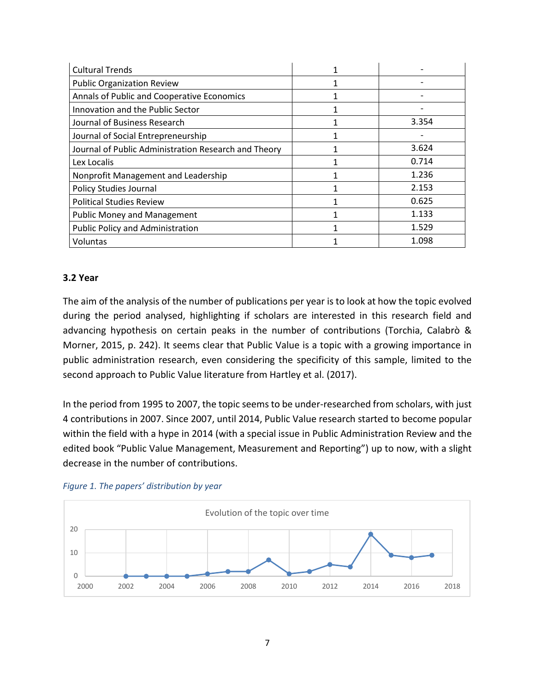| <b>Cultural Trends</b>                               |  |       |
|------------------------------------------------------|--|-------|
| <b>Public Organization Review</b>                    |  |       |
| Annals of Public and Cooperative Economics           |  |       |
| Innovation and the Public Sector                     |  |       |
| Journal of Business Research                         |  | 3.354 |
| Journal of Social Entrepreneurship                   |  |       |
| Journal of Public Administration Research and Theory |  | 3.624 |
| Lex Localis                                          |  | 0.714 |
| Nonprofit Management and Leadership                  |  | 1.236 |
| <b>Policy Studies Journal</b>                        |  | 2.153 |
| <b>Political Studies Review</b>                      |  | 0.625 |
| <b>Public Money and Management</b>                   |  | 1.133 |
| <b>Public Policy and Administration</b>              |  | 1.529 |
| Voluntas                                             |  | 1.098 |

#### **3.2 Year**

The aim of the analysis of the number of publications per year is to look at how the topic evolved during the period analysed, highlighting if scholars are interested in this research field and advancing hypothesis on certain peaks in the number of contributions (Torchia, Calabrò & Morner, 2015, p. 242). It seems clear that Public Value is a topic with a growing importance in public administration research, even considering the specificity of this sample, limited to the second approach to Public Value literature from Hartley et al. (2017).

In the period from 1995 to 2007, the topic seems to be under-researched from scholars, with just 4 contributions in 2007. Since 2007, until 2014, Public Value research started to become popular within the field with a hype in 2014 (with a special issue in Public Administration Review and the edited book "Public Value Management, Measurement and Reporting") up to now, with a slight decrease in the number of contributions.



#### *Figure 1. The papers' distribution by year*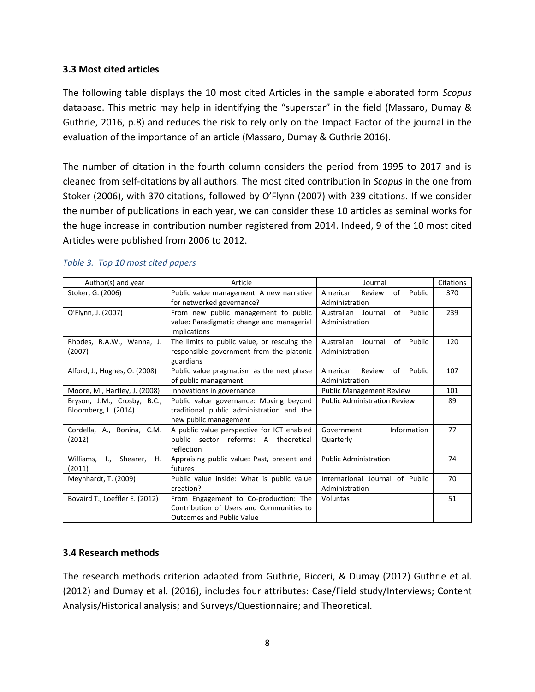#### **3.3 Most cited articles**

The following table displays the 10 most cited Articles in the sample elaborated form *Scopus* database. This metric may help in identifying the "superstar" in the field (Massaro, Dumay & Guthrie, 2016, p.8) and reduces the risk to rely only on the Impact Factor of the journal in the evaluation of the importance of an article (Massaro, Dumay & Guthrie 2016).

The number of citation in the fourth column considers the period from 1995 to 2017 and is cleaned from self-citations by all authors. The most cited contribution in *Scopus* in the one from Stoker (2006), with 370 citations, followed by O'Flynn (2007) with 239 citations. If we consider the number of publications in each year, we can consider these 10 articles as seminal works for the huge increase in contribution number registered from 2014. Indeed, 9 of the 10 most cited Articles were published from 2006 to 2012.

| Author(s) and year             | Article                                     | Journal                             | Citations |
|--------------------------------|---------------------------------------------|-------------------------------------|-----------|
| Stoker, G. (2006)              | Public value management: A new narrative    | of<br>Public<br>American<br>Review  | 370       |
|                                | for networked governance?                   | Administration                      |           |
| O'Flynn, J. (2007)             | From new public management to public        | of Public<br>Australian<br>Journal  | 239       |
|                                | value: Paradigmatic change and managerial   | Administration                      |           |
|                                | implications                                |                                     |           |
| Rhodes, R.A.W., Wanna, J.      | The limits to public value, or rescuing the | Journal<br>Australian<br>of Public  | 120       |
| (2007)                         | responsible government from the platonic    | Administration                      |           |
|                                | guardians                                   |                                     |           |
| Alford, J., Hughes, O. (2008)  | Public value pragmatism as the next phase   | American<br>Review<br>of<br>Public  | 107       |
|                                | of public management                        | Administration                      |           |
| Moore, M., Hartley, J. (2008)  | Innovations in governance                   | <b>Public Management Review</b>     | 101       |
| Bryson, J.M., Crosby, B.C.,    | Public value governance: Moving beyond      | <b>Public Administration Review</b> | 89        |
| Bloomberg, L. (2014)           | traditional public administration and the   |                                     |           |
|                                | new public management                       |                                     |           |
| Cordella, A., Bonina, C.M.     | A public value perspective for ICT enabled  | Information<br>Government           | 77        |
| (2012)                         | public sector reforms: A theoretical        | Quarterly                           |           |
|                                | reflection                                  |                                     |           |
| Williams, I., Shearer,<br>Η.   | Appraising public value: Past, present and  | <b>Public Administration</b>        | 74        |
| (2011)                         | futures                                     |                                     |           |
| Meynhardt, T. (2009)           | Public value inside: What is public value   | International Journal of Public     | 70        |
|                                | creation?                                   | Administration                      |           |
| Bovaird T., Loeffler E. (2012) | From Engagement to Co-production: The       | Voluntas                            | 51        |
|                                | Contribution of Users and Communities to    |                                     |           |
|                                | <b>Outcomes and Public Value</b>            |                                     |           |

#### *Table 3. Top 10 most cited papers*

#### **3.4 Research methods**

The research methods criterion adapted from Guthrie, Ricceri, & Dumay (2012) Guthrie et al. (2012) and Dumay et al. (2016), includes four attributes: Case/Field study/Interviews; Content Analysis/Historical analysis; and Surveys/Questionnaire; and Theoretical.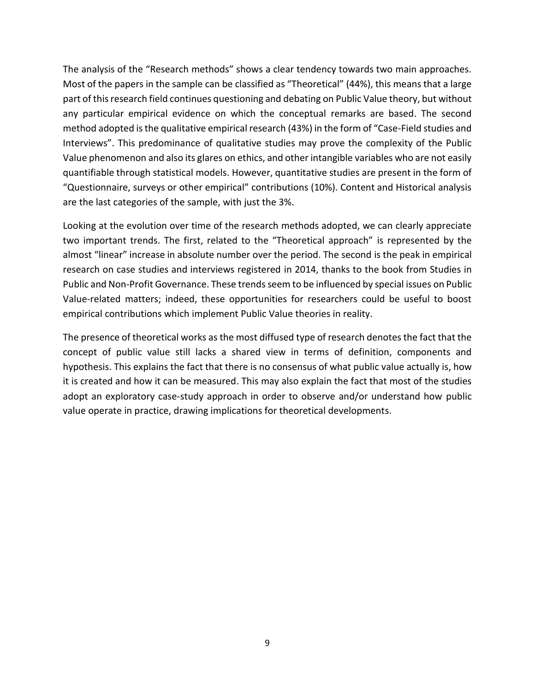The analysis of the "Research methods" shows a clear tendency towards two main approaches. Most of the papers in the sample can be classified as "Theoretical" (44%), this means that a large part of this research field continues questioning and debating on Public Value theory, but without any particular empirical evidence on which the conceptual remarks are based. The second method adopted is the qualitative empirical research (43%) in the form of "Case-Field studies and Interviews". This predominance of qualitative studies may prove the complexity of the Public Value phenomenon and also its glares on ethics, and other intangible variables who are not easily quantifiable through statistical models. However, quantitative studies are present in the form of "Questionnaire, surveys or other empirical" contributions (10%). Content and Historical analysis are the last categories of the sample, with just the 3%.

Looking at the evolution over time of the research methods adopted, we can clearly appreciate two important trends. The first, related to the "Theoretical approach" is represented by the almost "linear" increase in absolute number over the period. The second is the peak in empirical research on case studies and interviews registered in 2014, thanks to the book from Studies in Public and Non-Profit Governance. These trends seem to be influenced by special issues on Public Value-related matters; indeed, these opportunities for researchers could be useful to boost empirical contributions which implement Public Value theories in reality.

The presence of theoretical works as the most diffused type of research denotes the fact that the concept of public value still lacks a shared view in terms of definition, components and hypothesis. This explains the fact that there is no consensus of what public value actually is, how it is created and how it can be measured. This may also explain the fact that most of the studies adopt an exploratory case-study approach in order to observe and/or understand how public value operate in practice, drawing implications for theoretical developments.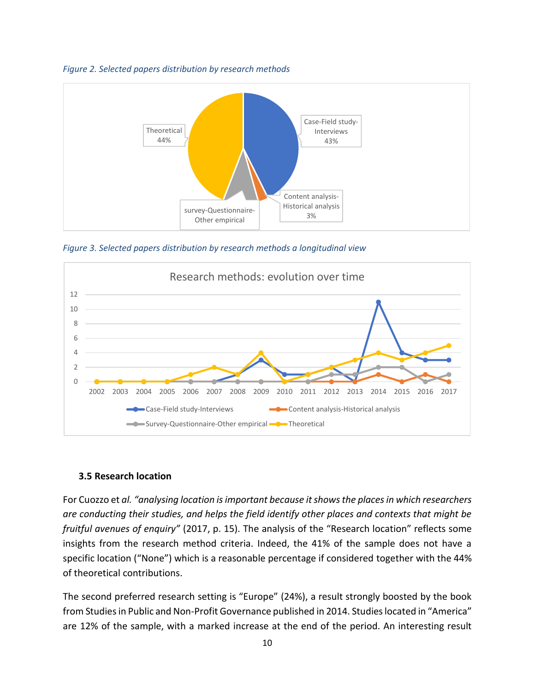



*Figure 3. Selected papers distribution by research methods a longitudinal view*



#### **3.5 Research location**

For Cuozzo et *al. "analysing location is important because it shows the places in which researchers are conducting their studies, and helps the field identify other places and contexts that might be fruitful avenues of enquiry"* (2017, p. 15). The analysis of the "Research location" reflects some insights from the research method criteria. Indeed, the 41% of the sample does not have a specific location ("None") which is a reasonable percentage if considered together with the 44% of theoretical contributions.

The second preferred research setting is "Europe" (24%), a result strongly boosted by the book from Studies in Public and Non-Profit Governance published in 2014. Studies located in "America" are 12% of the sample, with a marked increase at the end of the period. An interesting result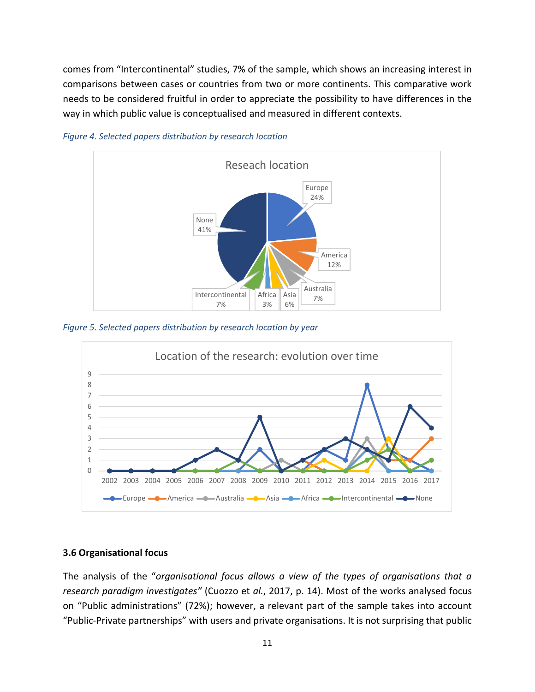comes from "Intercontinental" studies, 7% of the sample, which shows an increasing interest in comparisons between cases or countries from two or more continents. This comparative work needs to be considered fruitful in order to appreciate the possibility to have differences in the way in which public value is conceptualised and measured in different contexts.



*Figure 4. Selected papers distribution by research location*

*Figure 5. Selected papers distribution by research location by year*



#### **3.6 Organisational focus**

The analysis of the "*organisational focus allows a view of the types of organisations that a research paradigm investigates"* (Cuozzo et *al.*, 2017, p. 14). Most of the works analysed focus on "Public administrations" (72%); however, a relevant part of the sample takes into account "Public-Private partnerships" with users and private organisations. It is not surprising that public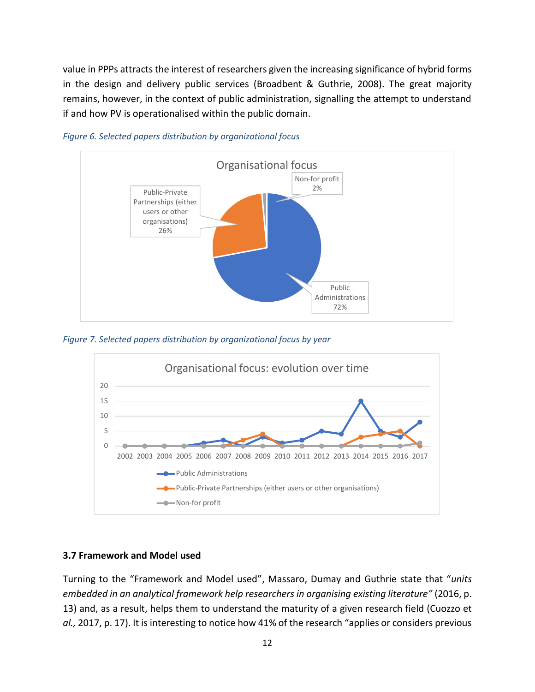value in PPPs attracts the interest of researchers given the increasing significance of hybrid forms in the design and delivery public services (Broadbent & Guthrie, 2008). The great majority remains, however, in the context of public administration, signalling the attempt to understand if and how PV is operationalised within the public domain.



*Figure 6. Selected papers distribution by organizational focus*

*Figure 7. Selected papers distribution by organizational focus by year*



#### **3.7 Framework and Model used**

Turning to the "Framework and Model used", Massaro, Dumay and Guthrie state that "*units embedded in an analytical framework help researchers in organising existing literature"* (2016, p. 13) and, as a result, helps them to understand the maturity of a given research field (Cuozzo et *al.,* 2017, p. 17). It is interesting to notice how 41% of the research "applies or considers previous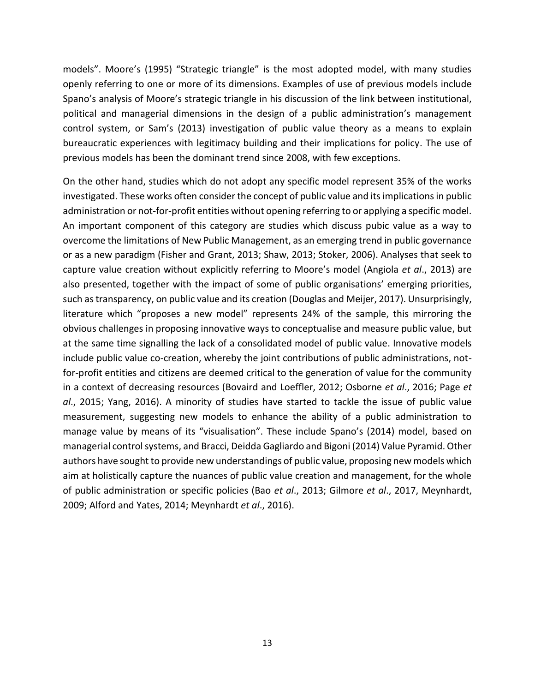models". Moore's (1995) "Strategic triangle" is the most adopted model, with many studies openly referring to one or more of its dimensions. Examples of use of previous models include Spano's analysis of Moore's strategic triangle in his discussion of the link between institutional, political and managerial dimensions in the design of a public administration's management control system, or Sam's (2013) investigation of public value theory as a means to explain bureaucratic experiences with legitimacy building and their implications for policy. The use of previous models has been the dominant trend since 2008, with few exceptions.

On the other hand, studies which do not adopt any specific model represent 35% of the works investigated. These works often consider the concept of public value and its implications in public administration or not-for-profit entities without opening referring to or applying a specific model. An important component of this category are studies which discuss pubic value as a way to overcome the limitations of New Public Management, as an emerging trend in public governance or as a new paradigm (Fisher and Grant, 2013; Shaw, 2013; Stoker, 2006). Analyses that seek to capture value creation without explicitly referring to Moore's model (Angiola *et al*., 2013) are also presented, together with the impact of some of public organisations' emerging priorities, such as transparency, on public value and its creation (Douglas and Meijer, 2017). Unsurprisingly, literature which "proposes a new model" represents 24% of the sample, this mirroring the obvious challenges in proposing innovative ways to conceptualise and measure public value, but at the same time signalling the lack of a consolidated model of public value. Innovative models include public value co-creation, whereby the joint contributions of public administrations, notfor-profit entities and citizens are deemed critical to the generation of value for the community in a context of decreasing resources (Bovaird and Loeffler, 2012; Osborne *et al*., 2016; Page *et al*., 2015; Yang, 2016). A minority of studies have started to tackle the issue of public value measurement, suggesting new models to enhance the ability of a public administration to manage value by means of its "visualisation". These include Spano's (2014) model, based on managerial control systems, and Bracci, Deidda Gagliardo and Bigoni (2014) Value Pyramid. Other authors have sought to provide new understandings of public value, proposing new models which aim at holistically capture the nuances of public value creation and management, for the whole of public administration or specific policies (Bao *et al*., 2013; Gilmore *et al*., 2017, Meynhardt, 2009; Alford and Yates, 2014; Meynhardt *et al*., 2016).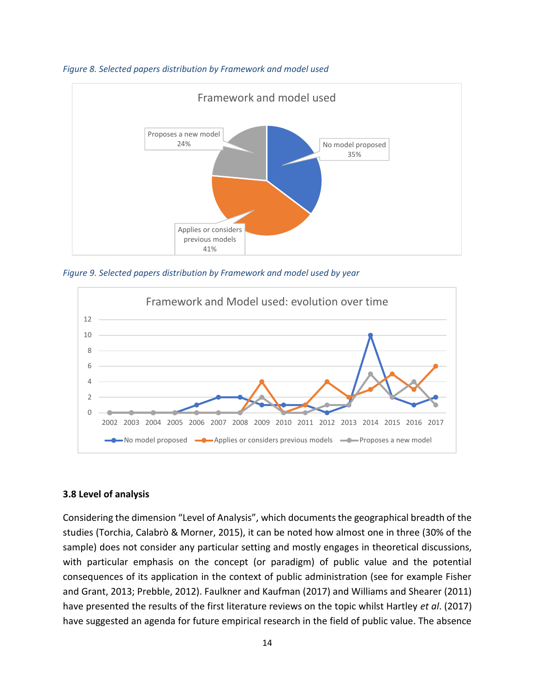

*Figure 8. Selected papers distribution by Framework and model used*

*Figure 9. Selected papers distribution by Framework and model used by year*



#### **3.8 Level of analysis**

Considering the dimension "Level of Analysis", which documents the geographical breadth of the studies (Torchia, Calabrò & Morner, 2015), it can be noted how almost one in three (30% of the sample) does not consider any particular setting and mostly engages in theoretical discussions, with particular emphasis on the concept (or paradigm) of public value and the potential consequences of its application in the context of public administration (see for example Fisher and Grant, 2013; Prebble, 2012). Faulkner and Kaufman (2017) and Williams and Shearer (2011) have presented the results of the first literature reviews on the topic whilst Hartley *et al*. (2017) have suggested an agenda for future empirical research in the field of public value. The absence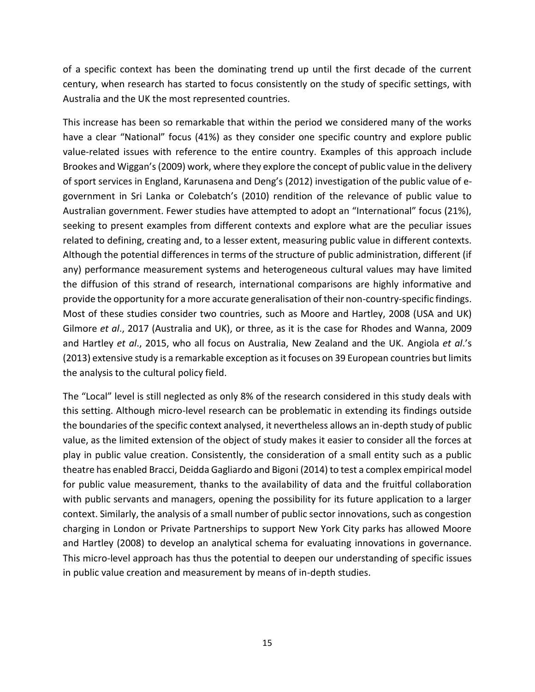of a specific context has been the dominating trend up until the first decade of the current century, when research has started to focus consistently on the study of specific settings, with Australia and the UK the most represented countries.

This increase has been so remarkable that within the period we considered many of the works have a clear "National" focus (41%) as they consider one specific country and explore public value-related issues with reference to the entire country. Examples of this approach include Brookes and Wiggan's(2009) work, where they explore the concept of public value in the delivery of sport services in England, Karunasena and Deng's (2012) investigation of the public value of egovernment in Sri Lanka or Colebatch's (2010) rendition of the relevance of public value to Australian government. Fewer studies have attempted to adopt an "International" focus (21%), seeking to present examples from different contexts and explore what are the peculiar issues related to defining, creating and, to a lesser extent, measuring public value in different contexts. Although the potential differences in terms of the structure of public administration, different (if any) performance measurement systems and heterogeneous cultural values may have limited the diffusion of this strand of research, international comparisons are highly informative and provide the opportunity for a more accurate generalisation of their non-country-specific findings. Most of these studies consider two countries, such as Moore and Hartley, 2008 (USA and UK) Gilmore *et al*., 2017 (Australia and UK), or three, as it is the case for Rhodes and Wanna, 2009 and Hartley *et al*., 2015, who all focus on Australia, New Zealand and the UK. Angiola *et al*.'s (2013) extensive study is a remarkable exception as it focuses on 39 European countries but limits the analysis to the cultural policy field.

The "Local" level is still neglected as only 8% of the research considered in this study deals with this setting. Although micro-level research can be problematic in extending its findings outside the boundaries of the specific context analysed, it nevertheless allows an in-depth study of public value, as the limited extension of the object of study makes it easier to consider all the forces at play in public value creation. Consistently, the consideration of a small entity such as a public theatre has enabled Bracci, Deidda Gagliardo and Bigoni (2014) to test a complex empirical model for public value measurement, thanks to the availability of data and the fruitful collaboration with public servants and managers, opening the possibility for its future application to a larger context. Similarly, the analysis of a small number of public sector innovations, such as congestion charging in London or Private Partnerships to support New York City parks has allowed Moore and Hartley (2008) to develop an analytical schema for evaluating innovations in governance. This micro-level approach has thus the potential to deepen our understanding of specific issues in public value creation and measurement by means of in-depth studies.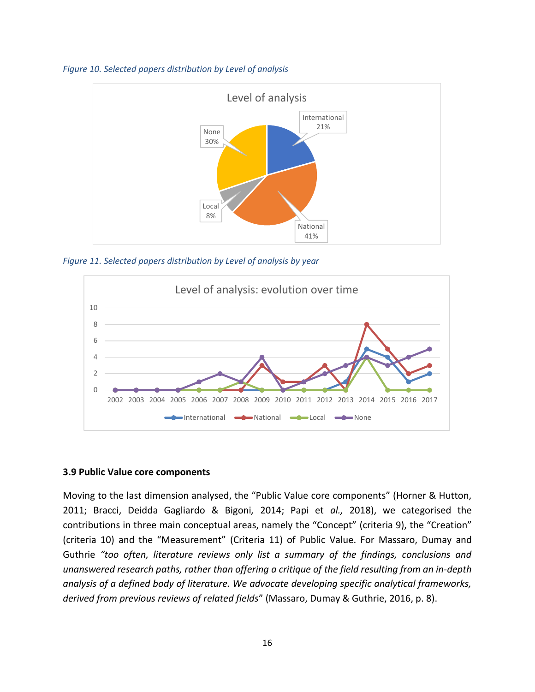



*Figure 11. Selected papers distribution by Level of analysis by year*



#### **3.9 Public Value core components**

Moving to the last dimension analysed, the "Public Value core components" (Horner & Hutton, 2011; Bracci, Deidda Gagliardo & Bigoni*,* 2014; Papi et *al.,* 2018), we categorised the contributions in three main conceptual areas, namely the "Concept" (criteria 9), the "Creation" (criteria 10) and the "Measurement" (Criteria 11) of Public Value. For Massaro, Dumay and Guthrie *"too often, literature reviews only list a summary of the findings, conclusions and unanswered research paths, rather than offering a critique of the field resulting from an in-depth analysis of a defined body of literature. We advocate developing specific analytical frameworks, derived from previous reviews of related fields*" (Massaro, Dumay & Guthrie, 2016, p. 8).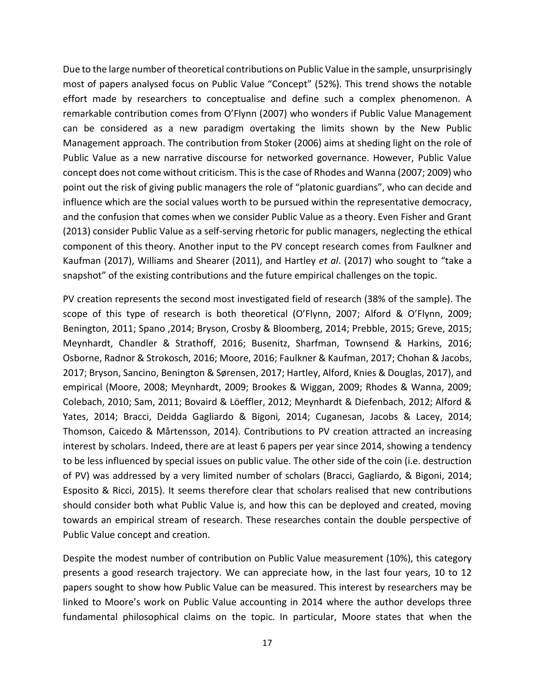Due to the large number of theoretical contributions on Public Value in the sample, unsurprisingly most of papers analysed focus on Public Value "Concept" (52%). This trend shows the notable effort made by researchers to conceptualise and define such a complex phenomenon. A remarkable contribution comes from O'Flynn (2007) who wonders if Public Value Management can be considered as a new paradigm overtaking the limits shown by the New Public Management approach. The contribution from Stoker (2006) aims at sheding light on the role of Public Value as a new narrative discourse for networked governance. However, Public Value concept does not come without criticism. This isthe case of Rhodes and Wanna (2007; 2009) who point out the risk of giving public managers the role of "platonic guardians", who can decide and influence which are the social values worth to be pursued within the representative democracy, and the confusion that comes when we consider Public Value as a theory. Even Fisher and Grant (2013) consider Public Value as a self-serving rhetoric for public managers, neglecting the ethical component of this theory. Another input to the PV concept research comes from Faulkner and Kaufman (2017), Williams and Shearer (2011), and Hartley *et al*. (2017) who sought to "take a snapshot" of the existing contributions and the future empirical challenges on the topic.

PV creation represents the second most investigated field of research (38% of the sample). The scope of this type of research is both theoretical (O'Flynn, 2007; Alford & O'Flynn, 2009; Benington, 2011; Spano ,2014; Bryson, Crosby & Bloomberg, 2014; Prebble, 2015; Greve, 2015; Meynhardt, Chandler & Strathoff, 2016; Busenitz, Sharfman, Townsend & Harkins, 2016; Osborne, Radnor & Strokosch, 2016; Moore, 2016; Faulkner & Kaufman, 2017; Chohan & Jacobs, 2017; Bryson, Sancino, Benington & Sørensen, 2017; Hartley, Alford, Knies & Douglas, 2017), and empirical (Moore, 2008; Meynhardt, 2009; Brookes & Wiggan, 2009; Rhodes & Wanna, 2009; Colebach, 2010; Sam, 2011; Bovaird & Löeffler, 2012; Meynhardt & Diefenbach, 2012; Alford & Yates, 2014; Bracci, Deidda Gagliardo & Bigoni*,* 2014; Cuganesan, Jacobs & Lacey, 2014; Thomson, Caicedo & Mårtensson, 2014). Contributions to PV creation attracted an increasing interest by scholars. Indeed, there are at least 6 papers per year since 2014, showing a tendency to be less influenced by special issues on public value. The other side of the coin (i.e. destruction of PV) was addressed by a very limited number of scholars (Bracci, Gagliardo, & Bigoni, 2014; Esposito & Ricci, 2015). It seems therefore clear that scholars realised that new contributions should consider both what Public Value is, and how this can be deployed and created, moving towards an empirical stream of research. These researches contain the double perspective of Public Value concept and creation.

Despite the modest number of contribution on Public Value measurement (10%), this category presents a good research trajectory. We can appreciate how, in the last four years, 10 to 12 papers sought to show how Public Value can be measured. This interest by researchers may be linked to Moore's work on Public Value accounting in 2014 where the author develops three fundamental philosophical claims on the topic. In particular, Moore states that when the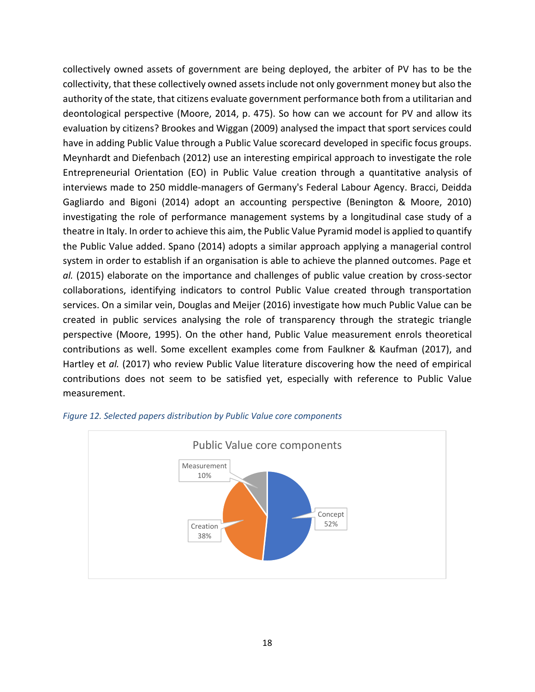collectively owned assets of government are being deployed, the arbiter of PV has to be the collectivity, that these collectively owned assets include not only government money but also the authority of the state, that citizens evaluate government performance both from a utilitarian and deontological perspective (Moore, 2014, p. 475). So how can we account for PV and allow its evaluation by citizens? Brookes and Wiggan (2009) analysed the impact that sport services could have in adding Public Value through a Public Value scorecard developed in specific focus groups. Meynhardt and Diefenbach (2012) use an interesting empirical approach to investigate the role Entrepreneurial Orientation (EO) in Public Value creation through a quantitative analysis of interviews made to 250 middle-managers of Germany's Federal Labour Agency. Bracci, Deidda Gagliardo and Bigoni (2014) adopt an accounting perspective (Benington & Moore, 2010) investigating the role of performance management systems by a longitudinal case study of a theatre in Italy. In order to achieve this aim, the Public Value Pyramid model is applied to quantify the Public Value added. Spano (2014) adopts a similar approach applying a managerial control system in order to establish if an organisation is able to achieve the planned outcomes. Page et *al.* (2015) elaborate on the importance and challenges of public value creation by cross-sector collaborations, identifying indicators to control Public Value created through transportation services. On a similar vein, Douglas and Meijer (2016) investigate how much Public Value can be created in public services analysing the role of transparency through the strategic triangle perspective (Moore, 1995). On the other hand, Public Value measurement enrols theoretical contributions as well. Some excellent examples come from Faulkner & Kaufman (2017), and Hartley et *al.* (2017) who review Public Value literature discovering how the need of empirical contributions does not seem to be satisfied yet, especially with reference to Public Value measurement.



#### *Figure 12. Selected papers distribution by Public Value core components*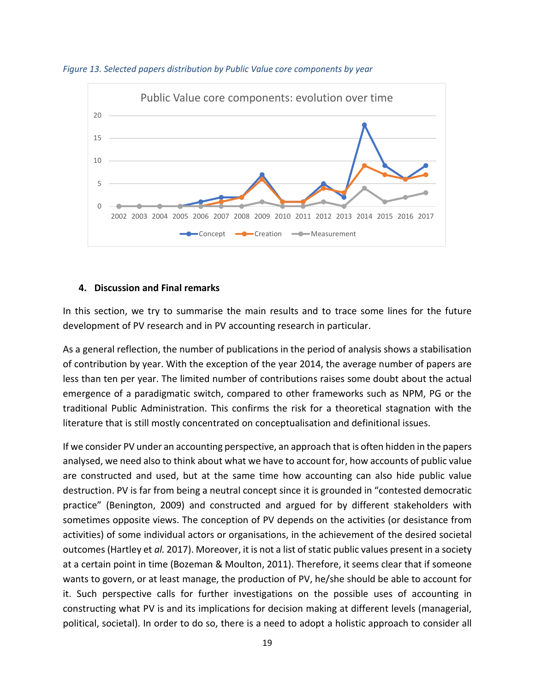

*Figure 13. Selected papers distribution by Public Value core components by year*

#### **4. Discussion and Final remarks**

In this section, we try to summarise the main results and to trace some lines for the future development of PV research and in PV accounting research in particular.

As a general reflection, the number of publications in the period of analysis shows a stabilisation of contribution by year. With the exception of the year 2014, the average number of papers are less than ten per year. The limited number of contributions raises some doubt about the actual emergence of a paradigmatic switch, compared to other frameworks such as NPM, PG or the traditional Public Administration. This confirms the risk for a theoretical stagnation with the literature that is still mostly concentrated on conceptualisation and definitional issues.

If we consider PV under an accounting perspective, an approach that is often hidden in the papers analysed, we need also to think about what we have to account for, how accounts of public value are constructed and used, but at the same time how accounting can also hide public value destruction. PV is far from being a neutral concept since it is grounded in "contested democratic practice" (Benington, 2009) and constructed and argued for by different stakeholders with sometimes opposite views. The conception of PV depends on the activities (or desistance from activities) of some individual actors or organisations, in the achievement of the desired societal outcomes (Hartley et *al.* 2017). Moreover, it is not a list of static public values present in a society at a certain point in time (Bozeman & Moulton, 2011). Therefore, it seems clear that if someone wants to govern, or at least manage, the production of PV, he/she should be able to account for it. Such perspective calls for further investigations on the possible uses of accounting in constructing what PV is and its implications for decision making at different levels (managerial, political, societal). In order to do so, there is a need to adopt a holistic approach to consider all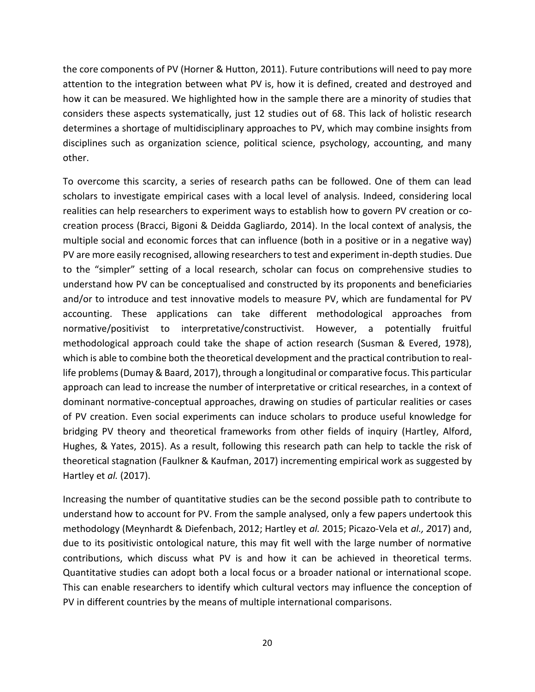the core components of PV (Horner & Hutton, 2011). Future contributions will need to pay more attention to the integration between what PV is, how it is defined, created and destroyed and how it can be measured. We highlighted how in the sample there are a minority of studies that considers these aspects systematically, just 12 studies out of 68. This lack of holistic research determines a shortage of multidisciplinary approaches to PV, which may combine insights from disciplines such as organization science, political science, psychology, accounting, and many other.

To overcome this scarcity, a series of research paths can be followed. One of them can lead scholars to investigate empirical cases with a local level of analysis. Indeed, considering local realities can help researchers to experiment ways to establish how to govern PV creation or cocreation process (Bracci, Bigoni & Deidda Gagliardo, 2014). In the local context of analysis, the multiple social and economic forces that can influence (both in a positive or in a negative way) PV are more easily recognised, allowing researchers to test and experiment in-depth studies. Due to the "simpler" setting of a local research, scholar can focus on comprehensive studies to understand how PV can be conceptualised and constructed by its proponents and beneficiaries and/or to introduce and test innovative models to measure PV, which are fundamental for PV accounting. These applications can take different methodological approaches from normative/positivist to interpretative/constructivist. However, a potentially fruitful methodological approach could take the shape of action research (Susman & Evered, 1978), which is able to combine both the theoretical development and the practical contribution to reallife problems (Dumay & Baard, 2017), through a longitudinal or comparative focus. This particular approach can lead to increase the number of interpretative or critical researches, in a context of dominant normative-conceptual approaches, drawing on studies of particular realities or cases of PV creation. Even social experiments can induce scholars to produce useful knowledge for bridging PV theory and theoretical frameworks from other fields of inquiry (Hartley, Alford, Hughes, & Yates, 2015). As a result, following this research path can help to tackle the risk of theoretical stagnation (Faulkner & Kaufman, 2017) incrementing empirical work as suggested by Hartley et *al.* (2017).

Increasing the number of quantitative studies can be the second possible path to contribute to understand how to account for PV. From the sample analysed, only a few papers undertook this methodology (Meynhardt & Diefenbach, 2012; Hartley et *al.* 2015; Picazo-Vela et *al., 2*017) and, due to its positivistic ontological nature, this may fit well with the large number of normative contributions, which discuss what PV is and how it can be achieved in theoretical terms. Quantitative studies can adopt both a local focus or a broader national or international scope. This can enable researchers to identify which cultural vectors may influence the conception of PV in different countries by the means of multiple international comparisons.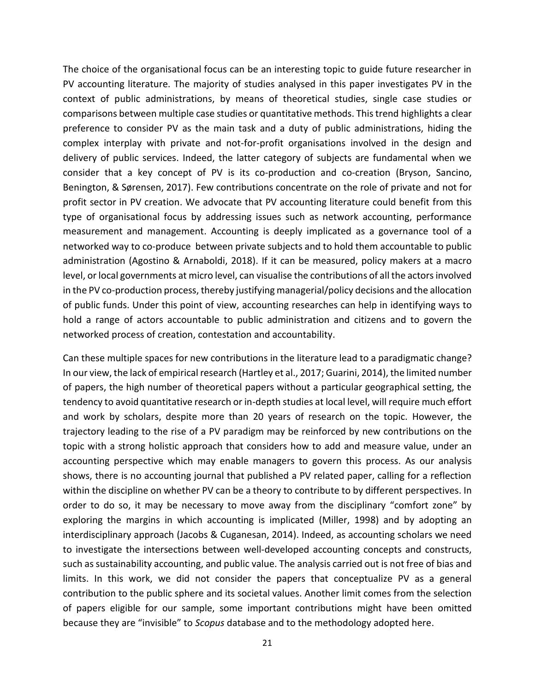The choice of the organisational focus can be an interesting topic to guide future researcher in PV accounting literature. The majority of studies analysed in this paper investigates PV in the context of public administrations, by means of theoretical studies, single case studies or comparisons between multiple case studies or quantitative methods. This trend highlights a clear preference to consider PV as the main task and a duty of public administrations, hiding the complex interplay with private and not-for-profit organisations involved in the design and delivery of public services. Indeed, the latter category of subjects are fundamental when we consider that a key concept of PV is its co-production and co-creation (Bryson, Sancino, Benington, & Sørensen, 2017). Few contributions concentrate on the role of private and not for profit sector in PV creation. We advocate that PV accounting literature could benefit from this type of organisational focus by addressing issues such as network accounting, performance measurement and management. Accounting is deeply implicated as a governance tool of a networked way to co-produce between private subjects and to hold them accountable to public administration (Agostino & Arnaboldi, 2018). If it can be measured, policy makers at a macro level, or local governments at micro level, can visualise the contributions of all the actors involved in the PV co-production process, thereby justifying managerial/policy decisions and the allocation of public funds. Under this point of view, accounting researches can help in identifying ways to hold a range of actors accountable to public administration and citizens and to govern the networked process of creation, contestation and accountability.

Can these multiple spaces for new contributions in the literature lead to a paradigmatic change? In our view, the lack of empirical research (Hartley et al., 2017; Guarini, 2014), the limited number of papers, the high number of theoretical papers without a particular geographical setting, the tendency to avoid quantitative research or in-depth studies at local level, will require much effort and work by scholars, despite more than 20 years of research on the topic. However, the trajectory leading to the rise of a PV paradigm may be reinforced by new contributions on the topic with a strong holistic approach that considers how to add and measure value, under an accounting perspective which may enable managers to govern this process. As our analysis shows, there is no accounting journal that published a PV related paper, calling for a reflection within the discipline on whether PV can be a theory to contribute to by different perspectives. In order to do so, it may be necessary to move away from the disciplinary "comfort zone" by exploring the margins in which accounting is implicated (Miller, 1998) and by adopting an interdisciplinary approach (Jacobs & Cuganesan, 2014). Indeed, as accounting scholars we need to investigate the intersections between well-developed accounting concepts and constructs, such as sustainability accounting, and public value. The analysis carried out is not free of bias and limits. In this work, we did not consider the papers that conceptualize PV as a general contribution to the public sphere and its societal values. Another limit comes from the selection of papers eligible for our sample, some important contributions might have been omitted because they are "invisible" to *Scopus* database and to the methodology adopted here.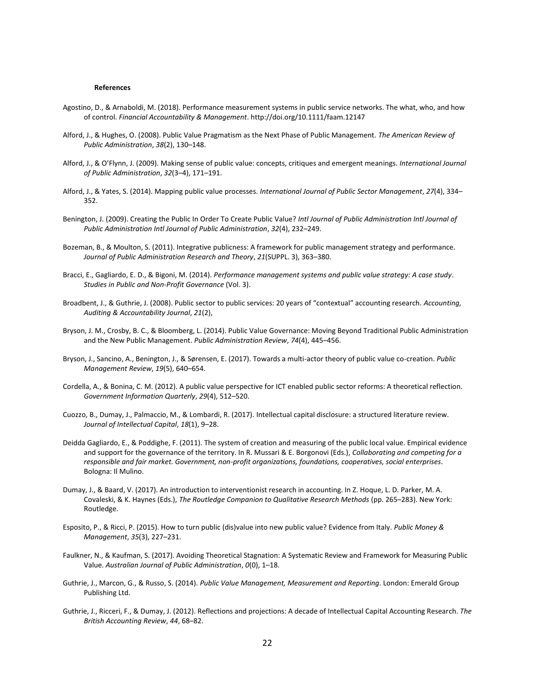#### **References**

- Agostino, D., & Arnaboldi, M. (2018). Performance measurement systems in public service networks. The what, who, and how of control. *Financial Accountability & Management*. http://doi.org/10.1111/faam.12147
- Alford, J., & Hughes, O. (2008). Public Value Pragmatism as the Next Phase of Public Management. *The American Review of Public Administration*, *38*(2), 130–148.
- Alford, J., & O'Flynn, J. (2009). Making sense of public value: concepts, critiques and emergent meanings. *International Journal of Public Administration*, *32*(3–4), 171–191.
- Alford, J., & Yates, S. (2014). Mapping public value processes. *International Journal of Public Sector Management*, *27*(4), 334– 352.
- Benington, J. (2009). Creating the Public In Order To Create Public Value? *Intl Journal of Public Administration Intl Journal of Public Administration Intl Journal of Public Administration*, *32*(4), 232–249.
- Bozeman, B., & Moulton, S. (2011). Integrative publicness: A framework for public management strategy and performance. *Journal of Public Administration Research and Theory*, *21*(SUPPL. 3), 363–380.
- Bracci, E., Gagliardo, E. D., & Bigoni, M. (2014). *Performance management systems and public value strategy: A case study*. *Studies in Public and Non-Profit Governance* (Vol. 3).
- Broadbent, J., & Guthrie, J. (2008). Public sector to public services: 20 years of "contextual" accounting research. *Accounting, Auditing & Accountability Journal*, *21*(2),
- Bryson, J. M., Crosby, B. C., & Bloomberg, L. (2014). Public Value Governance: Moving Beyond Traditional Public Administration and the New Public Management. *Public Administration Review*, *74*(4), 445–456.
- Bryson, J., Sancino, A., Benington, J., & Sørensen, E. (2017). Towards a multi-actor theory of public value co-creation. *Public Management Review*, *19*(5), 640–654.
- Cordella, A., & Bonina, C. M. (2012). A public value perspective for ICT enabled public sector reforms: A theoretical reflection. *Government Information Quarterly*, *29*(4), 512–520.
- Cuozzo, B., Dumay, J., Palmaccio, M., & Lombardi, R. (2017). Intellectual capital disclosure: a structured literature review. *Journal of Intellectual Capital*, *18*(1), 9–28.
- Deidda Gagliardo, E., & Poddighe, F. (2011). The system of creation and measuring of the public local value. Empirical evidence and support for the governance of the territory. In R. Mussari & E. Borgonovi (Eds.), *Collaborating and competing for a responsible and fair market. Government, non-profit organizations, foundations, cooperatives, social enterprises*. Bologna: Il Mulino.
- Dumay, J., & Baard, V. (2017). An introduction to interventionist research in accounting. In Z. Hoque, L. D. Parker, M. A. Covaleski, & K. Haynes (Eds.), *The Routledge Companion to Qualitative Research Methods* (pp. 265–283). New York: Routledge.
- Esposito, P., & Ricci, P. (2015). How to turn public (dis)value into new public value? Evidence from Italy. *Public Money & Management*, *35*(3), 227–231.
- Faulkner, N., & Kaufman, S. (2017). Avoiding Theoretical Stagnation: A Systematic Review and Framework for Measuring Public Value. *Australian Journal of Public Administration*, *0*(0), 1–18.
- Guthrie, J., Marcon, G., & Russo, S. (2014). *Public Value Management, Measurement and Reporting*. London: Emerald Group Publishing Ltd.
- Guthrie, J., Ricceri, F., & Dumay, J. (2012). Reflections and projections: A decade of Intellectual Capital Accounting Research. *The British Accounting Review*, *44*, 68–82.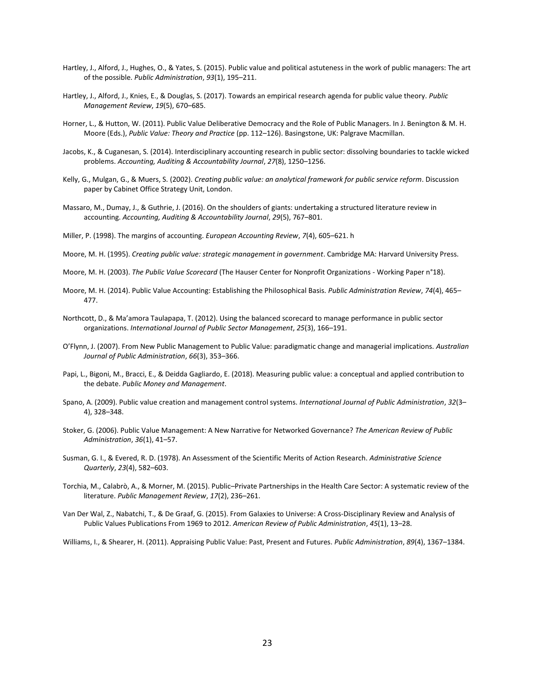- Hartley, J., Alford, J., Hughes, O., & Yates, S. (2015). Public value and political astuteness in the work of public managers: The art of the possible. *Public Administration*, *93*(1), 195–211.
- Hartley, J., Alford, J., Knies, E., & Douglas, S. (2017). Towards an empirical research agenda for public value theory. *Public Management Review*, *19*(5), 670–685.
- Horner, L., & Hutton, W. (2011). Public Value Deliberative Democracy and the Role of Public Managers. In J. Benington & M. H. Moore (Eds.), *Public Value: Theory and Practice* (pp. 112–126). Basingstone, UK: Palgrave Macmillan.
- Jacobs, K., & Cuganesan, S. (2014). Interdisciplinary accounting research in public sector: dissolving boundaries to tackle wicked problems. *Accounting, Auditing & Accountability Journal*, *27*(8), 1250–1256.
- Kelly, G., Mulgan, G., & Muers, S. (2002). *Creating public value: an analytical framework for public service reform*. Discussion paper by Cabinet Office Strategy Unit, London.
- Massaro, M., Dumay, J., & Guthrie, J. (2016). On the shoulders of giants: undertaking a structured literature review in accounting. *Accounting, Auditing & Accountability Journal*, *29*(5), 767–801.
- Miller, P. (1998). The margins of accounting. *European Accounting Review*, *7*(4), 605–621. h
- Moore, M. H. (1995). *Creating public value: strategic management in government*. Cambridge MA: Harvard University Press.
- Moore, M. H. (2003). *The Public Value Scorecard* (The Hauser Center for Nonprofit Organizations Working Paper n°18).
- Moore, M. H. (2014). Public Value Accounting: Establishing the Philosophical Basis. *Public Administration Review*, *74*(4), 465– 477.
- Northcott, D., & Ma'amora Taulapapa, T. (2012). Using the balanced scorecard to manage performance in public sector organizations. *International Journal of Public Sector Management*, *25*(3), 166–191.
- O'Flynn, J. (2007). From New Public Management to Public Value: paradigmatic change and managerial implications. *Australian Journal of Public Administration*, *66*(3), 353–366.
- Papi, L., Bigoni, M., Bracci, E., & Deidda Gagliardo, E. (2018). Measuring public value: a conceptual and applied contribution to the debate. *Public Money and Management*.
- Spano, A. (2009). Public value creation and management control systems. *International Journal of Public Administration*, *32*(3– 4), 328–348.
- Stoker, G. (2006). Public Value Management: A New Narrative for Networked Governance? *The American Review of Public Administration*, *36*(1), 41–57.
- Susman, G. I., & Evered, R. D. (1978). An Assessment of the Scientific Merits of Action Research. *Administrative Science Quarterly*, *23*(4), 582–603.
- Torchia, M., Calabrò, A., & Morner, M. (2015). Public–Private Partnerships in the Health Care Sector: A systematic review of the literature. *Public Management Review*, *17*(2), 236–261.
- Van Der Wal, Z., Nabatchi, T., & De Graaf, G. (2015). From Galaxies to Universe: A Cross-Disciplinary Review and Analysis of Public Values Publications From 1969 to 2012. *American Review of Public Administration*, *45*(1), 13–28.

Williams, I., & Shearer, H. (2011). Appraising Public Value: Past, Present and Futures. *Public Administration*, *89*(4), 1367–1384.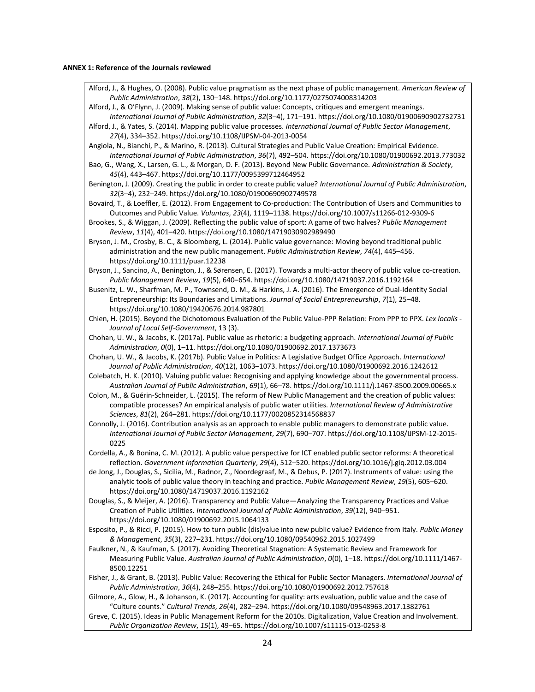#### **ANNEX 1: Reference of the Journals reviewed**

Alford, J., & Hughes, O. (2008). Public value pragmatism as the next phase of public management. *American Review of Public Administration*, *38*(2), 130–148. https://doi.org/10.1177/0275074008314203

Alford, J., & O'Flynn, J. (2009). Making sense of public value: Concepts, critiques and emergent meanings. *International Journal of Public Administration*, *32*(3–4), 171–191. https://doi.org/10.1080/01900690902732731 Alford, J., & Yates, S. (2014). Mapping public value processes. *International Journal of Public Sector Management*,

*27*(4), 334–352. https://doi.org/10.1108/IJPSM-04-2013-0054 Angiola, N., Bianchi, P., & Marino, R. (2013). Cultural Strategies and Public Value Creation: Empirical Evidence. *International Journal of Public Administration*, *36*(7), 492–504. https://doi.org/10.1080/01900692.2013.773032

Bao, G., Wang, X., Larsen, G. L., & Morgan, D. F. (2013). Beyond New Public Governance. *Administration & Society*, *45*(4), 443–467. https://doi.org/10.1177/0095399712464952

Benington, J. (2009). Creating the public in order to create public value? *International Journal of Public Administration*, *32*(3–4), 232–249. https://doi.org/10.1080/01900690902749578

Bovaird, T., & Loeffler, E. (2012). From Engagement to Co-production: The Contribution of Users and Communities to Outcomes and Public Value. *Voluntas*, *23*(4), 1119–1138. https://doi.org/10.1007/s11266-012-9309-6

Brookes, S., & Wiggan, J. (2009). Reflecting the public value of sport: A game of two halves? *Public Management Review*, *11*(4), 401–420. https://doi.org/10.1080/14719030902989490

Bryson, J. M., Crosby, B. C., & Bloomberg, L. (2014). Public value governance: Moving beyond traditional public administration and the new public management. *Public Administration Review*, *74*(4), 445–456. https://doi.org/10.1111/puar.12238

Bryson, J., Sancino, A., Benington, J., & Sørensen, E. (2017). Towards a multi-actor theory of public value co-creation. *Public Management Review*, *19*(5), 640–654. https://doi.org/10.1080/14719037.2016.1192164

Busenitz, L. W., Sharfman, M. P., Townsend, D. M., & Harkins, J. A. (2016). The Emergence of Dual-Identity Social Entrepreneurship: Its Boundaries and Limitations. *Journal of Social Entrepreneurship*, *7*(1), 25–48. https://doi.org/10.1080/19420676.2014.987801

Chien, H. (2015). Beyond the Dichotomous Evaluation of the Public Value-PPP Relation: From PPP to PPX. *Lex localis - Journal of Local Self-Government*, 13 (3).

Chohan, U. W., & Jacobs, K. (2017a). Public value as rhetoric: a budgeting approach. *International Journal of Public Administration*, *0*(0), 1–11. https://doi.org/10.1080/01900692.2017.1373673

Chohan, U. W., & Jacobs, K. (2017b). Public Value in Politics: A Legislative Budget Office Approach. *International Journal of Public Administration*, *40*(12), 1063–1073. https://doi.org/10.1080/01900692.2016.1242612

Colebatch, H. K. (2010). Valuing public value: Recognising and applying knowledge about the governmental process. *Australian Journal of Public Administration*, *69*(1), 66–78. https://doi.org/10.1111/j.1467-8500.2009.00665.x

Colon, M., & Guérin-Schneider, L. (2015). The reform of New Public Management and the creation of public values: compatible processes? An empirical analysis of public water utilities. *International Review of Administrative Sciences*, *81*(2), 264–281. https://doi.org/10.1177/0020852314568837

Connolly, J. (2016). Contribution analysis as an approach to enable public managers to demonstrate public value. *International Journal of Public Sector Management*, *29*(7), 690–707. https://doi.org/10.1108/IJPSM-12-2015- 0225

Cordella, A., & Bonina, C. M. (2012). A public value perspective for ICT enabled public sector reforms: A theoretical reflection. *Government Information Quarterly*, *29*(4), 512–520. https://doi.org/10.1016/j.giq.2012.03.004

de Jong, J., Douglas, S., Sicilia, M., Radnor, Z., Noordegraaf, M., & Debus, P. (2017). Instruments of value: using the analytic tools of public value theory in teaching and practice. *Public Management Review*, *19*(5), 605–620. https://doi.org/10.1080/14719037.2016.1192162

Douglas, S., & Meijer, A. (2016). Transparency and Public Value—Analyzing the Transparency Practices and Value Creation of Public Utilities. *International Journal of Public Administration*, *39*(12), 940–951. https://doi.org/10.1080/01900692.2015.1064133

Esposito, P., & Ricci, P. (2015). How to turn public (dis)value into new public value? Evidence from Italy. *Public Money & Management*, *35*(3), 227–231. https://doi.org/10.1080/09540962.2015.1027499

Faulkner, N., & Kaufman, S. (2017). Avoiding Theoretical Stagnation: A Systematic Review and Framework for Measuring Public Value. *Australian Journal of Public Administration*, *0*(0), 1–18. https://doi.org/10.1111/1467- 8500.12251

Fisher, J., & Grant, B. (2013). Public Value: Recovering the Ethical for Public Sector Managers. *International Journal of Public Administration*, *36*(4), 248–255. https://doi.org/10.1080/01900692.2012.757618

Gilmore, A., Glow, H., & Johanson, K. (2017). Accounting for quality: arts evaluation, public value and the case of "Culture counts." *Cultural Trends*, *26*(4), 282–294. https://doi.org/10.1080/09548963.2017.1382761

Greve, C. (2015). Ideas in Public Management Reform for the 2010s. Digitalization, Value Creation and Involvement. *Public Organization Review*, *15*(1), 49–65. https://doi.org/10.1007/s11115-013-0253-8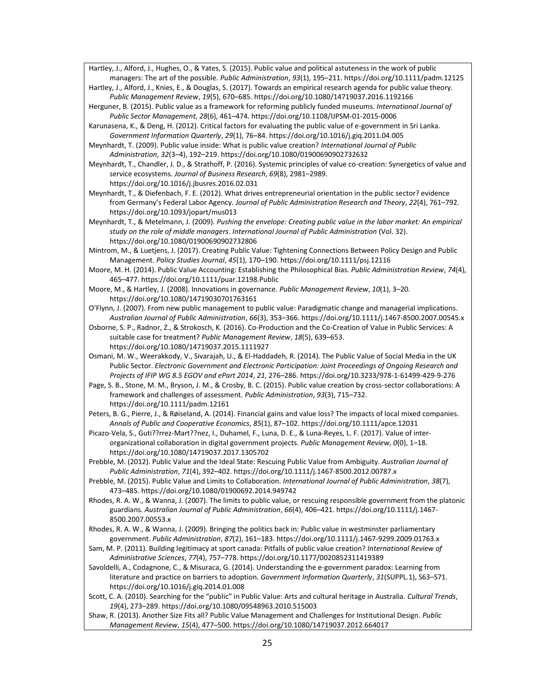Hartley, J., Alford, J., Hughes, O., & Yates, S. (2015). Public value and political astuteness in the work of public managers: The art of the possible. *Public Administration*, *93*(1), 195–211. https://doi.org/10.1111/padm.12125

Hartley, J., Alford, J., Knies, E., & Douglas, S. (2017). Towards an empirical research agenda for public value theory. *Public Management Review*, *19*(5), 670–685. https://doi.org/10.1080/14719037.2016.1192166

Herguner, B. (2015). Public value as a framework for reforming publicly funded museums. *International Journal of Public Sector Management*, *28*(6), 461–474. https://doi.org/10.1108/IJPSM-01-2015-0006

Karunasena, K., & Deng, H. (2012). Critical factors for evaluating the public value of e-government in Sri Lanka. *Government Information Quarterly*, *29*(1), 76–84. https://doi.org/10.1016/j.giq.2011.04.005

Meynhardt, T. (2009). Public value inside: What is public value creation? *International Journal of Public Administration*, *32*(3–4), 192–219. https://doi.org/10.1080/01900690902732632

Meynhardt, T., Chandler, J. D., & Strathoff, P. (2016). Systemic principles of value co-creation: Synergetics of value and service ecosystems. *Journal of Business Research*, *69*(8), 2981–2989. https://doi.org/10.1016/j.jbusres.2016.02.031

Meynhardt, T., & Diefenbach, F. E. (2012). What drives entrepreneurial orientation in the public sector? evidence from Germany's Federal Labor Agency. *Journal of Public Administration Research and Theory*, *22*(4), 761–792. https://doi.org/10.1093/jopart/mus013

Meynhardt, T., & Metelmann, J. (2009). *Pushing the envelope: Creating public value in the labor market: An empirical study on the role of middle managers*. *International Journal of Public Administration* (Vol. 32). https://doi.org/10.1080/01900690902732806

Mintrom, M., & Luetjens, J. (2017). Creating Public Value: Tightening Connections Between Policy Design and Public Management. *Policy Studies Journal*, *45*(1), 170–190. https://doi.org/10.1111/psj.12116

Moore, M. H. (2014). Public Value Accounting: Establishing the Philosophical Bias. *Public Administration Review*, *74*(4), 465–477. https://doi.org/10.1111/puar.12198.Public

Moore, M., & Hartley, J. (2008). Innovations in governance. *Public Management Review*, *10*(1), 3–20. https://doi.org/10.1080/14719030701763161

O'Flynn, J. (2007). From new public management to public value: Paradigmatic change and managerial implications. *Australian Journal of Public Administration*, *66*(3), 353–366. https://doi.org/10.1111/j.1467-8500.2007.00545.x

Osborne, S. P., Radnor, Z., & Strokosch, K. (2016). Co-Production and the Co-Creation of Value in Public Services: A suitable case for treatment? *Public Management Review*, *18*(5), 639–653. https://doi.org/10.1080/14719037.2015.1111927

Osmani, M. W., Weerakkody, V., Sivarajah, U., & El-Haddadeh, R. (2014). The Public Value of Social Media in the UK Public Sector. *Electronic Government and Electronic Participation: Joint Proceedings of Ongoing Research and Projects of IFIP WG 8.5 EGOV and ePart 2014*, *21*, 276–286. https://doi.org/10.3233/978-1-61499-429-9-276

Page, S. B., Stone, M. M., Bryson, J. M., & Crosby, B. C. (2015). Public value creation by cross-sector collaborations: A framework and challenges of assessment. *Public Administration*, *93*(3), 715–732. https://doi.org/10.1111/padm.12161

Peters, B. G., Pierre, J., & Røiseland, A. (2014). Financial gains and value loss? The impacts of local mixed companies. *Annals of Public and Cooperative Economics*, *85*(1), 87–102. https://doi.org/10.1111/apce.12031

Picazo-Vela, S., Guti??rrez-Mart??nez, I., Duhamel, F., Luna, D. E., & Luna-Reyes, L. F. (2017). Value of interorganizational collaboration in digital government projects. *Public Management Review*, *0*(0), 1–18. https://doi.org/10.1080/14719037.2017.1305702

Prebble, M. (2012). Public Value and the Ideal State: Rescuing Public Value from Ambiguity. *Australian Journal of Public Administration*, *71*(4), 392–402. https://doi.org/10.1111/j.1467-8500.2012.00787.x

Prebble, M. (2015). Public Value and Limits to Collaboration. *International Journal of Public Administration*, *38*(7), 473–485. https://doi.org/10.1080/01900692.2014.949742

Rhodes, R. A. W., & Wanna, J. (2007). The limits to public value, or rescuing responsible government from the platonic guardians. *Australian Journal of Public Administration*, *66*(4), 406–421. https://doi.org/10.1111/j.1467- 8500.2007.00553.x

Rhodes, R. A. W., & Wanna, J. (2009). Bringing the politics back in: Public value in westminster parliamentary government. *Public Administration*, *87*(2), 161–183. https://doi.org/10.1111/j.1467-9299.2009.01763.x

Sam, M. P. (2011). Building legitimacy at sport canada: Pitfalls of public value creation? *International Review of Administrative Sciences*, *77*(4), 757–778. https://doi.org/10.1177/0020852311419389

Savoldelli, A., Codagnone, C., & Misuraca, G. (2014). Understanding the e-government paradox: Learning from literature and practice on barriers to adoption. *Government Information Quarterly*, *31*(SUPPL.1), S63–S71. https://doi.org/10.1016/j.giq.2014.01.008

Scott, C. A. (2010). Searching for the "public" in Public Value: Arts and cultural heritage in Australia. *Cultural Trends*, *19*(4), 273–289. https://doi.org/10.1080/09548963.2010.515003

Shaw, R. (2013). Another Size Fits all? Public Value Management and Challenges for Institutional Design. *Public Management Review*, *15*(4), 477–500. https://doi.org/10.1080/14719037.2012.664017